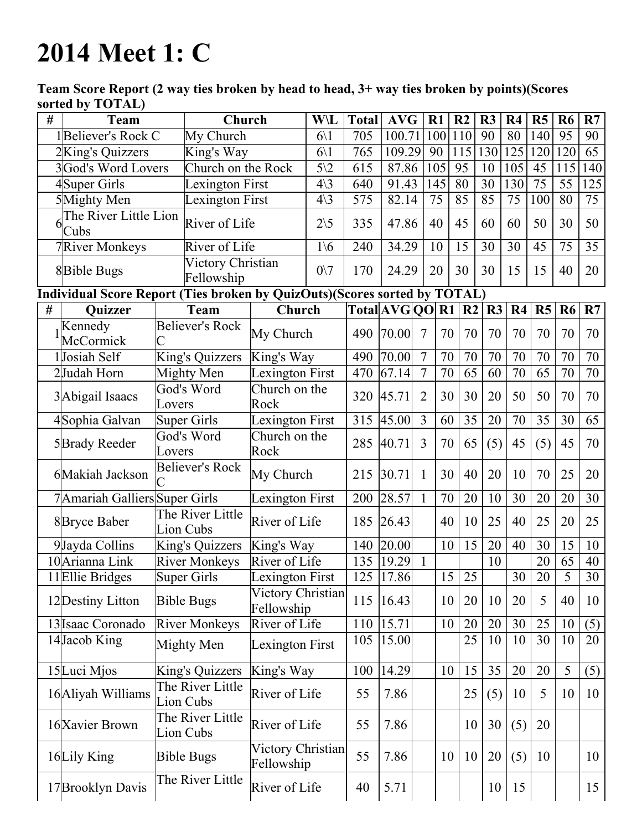## 2014 Meet 1: C

Team Score Report (2 way ties broken by head to head, 3+ way ties broken by points)(Scores sorted by TOTAL)

| # | <b>Team</b>                                                               | Church                        |                                 | W\L             | <b>Total</b> | <b>AVG</b>         |                 | R1  | R <sub>2</sub> | R3     | R <sub>4</sub> | R <sub>5</sub>  | R <sub>6</sub> | R7              |
|---|---------------------------------------------------------------------------|-------------------------------|---------------------------------|-----------------|--------------|--------------------|-----------------|-----|----------------|--------|----------------|-----------------|----------------|-----------------|
|   | 1Believer's Rock C                                                        | My Church                     |                                 | $6\backslash1$  | 705          | 100.71             |                 | 100 | 110            | 90     | 80             | 140             | 95             | 90              |
|   | 2King's Quizzers                                                          | King's Way                    |                                 | $6\backslash1$  | 765          | 109.29             |                 | 90  | 115            | 130    | 125            | 120             | 120            | 65              |
|   | 3God's Word Lovers                                                        | Church on the Rock            |                                 | $5\sqrt{2}$     | 615          | 87.86              |                 | 105 | 95             | 10     | 105            | 45              | 115            | 140             |
|   | 4Super Girls                                                              | Lexington First               |                                 | $4\backslash3$  | 640          | 91.43              |                 | 145 | 80             | 30     | 130            | $\overline{75}$ | 55             | 125             |
|   | 5Mighty Men                                                               | Lexington First               |                                 | $4\backslash3$  | 575          | 82.14              |                 | 75  | 85             | 85     | 75             | 100             | 80             | 75              |
|   | The River Little Lion<br>Cubs                                             | River of Life                 |                                 | $2\backslash 5$ | 335          | 47.86              |                 | 40  | 45             | 60     | 60             | 50              | 30             | 50              |
|   | <b>7</b> River Monkeys                                                    | River of Life                 |                                 | $1\backslash 6$ | 240          | 34.29              |                 | 10  | 15             | 30     | 30             | 45              | 75             | 35              |
|   | 8Bible Bugs                                                               | Fellowship                    | Victory Christian               |                 | 170          | 24.29              |                 | 20  | 30             | 30     | 15             | 15              | 40             | 20              |
|   | Individual Score Report (Ties broken by QuizOuts)(Scores sorted by TOTAL) |                               |                                 |                 |              |                    |                 |     |                |        |                |                 |                |                 |
| # | <b>Quizzer</b><br><b>Team</b>                                             |                               | Church                          |                 |              | Total AVG QO R1    |                 |     | R <sub>2</sub> | R3     | R <sub>4</sub> | R <sub>5</sub>  | <b>R6</b>      | R7              |
|   | Kennedy<br>McCormick                                                      | <b>Believer's Rock</b>        | My Church                       |                 | 490          | 70.00              | $7\phantom{.0}$ | 70  | 70             | 70     | 70             | 70              | 70             | 70              |
|   | 1Josiah Self                                                              | King's Quizzers               | King's Way                      |                 | 490          | 70.00              | $\overline{7}$  | 70  | 70             | 70     | 70             | 70              | 70             | $70\,$          |
|   | 2Judah Horn                                                               | Mighty Men                    | Lexington First                 |                 | 470          | $\overline{67.14}$ | $\overline{7}$  | 70  | 65             | 60     | 70             | 65              | 70             | 70              |
|   | 3Abigail Isaacs                                                           | God's Word<br>Lovers          | Church on the<br>Rock           |                 | 320          | 45.71              | $\overline{2}$  | 30  | 30             | 20     | 50             | 50              | 70             | 70              |
|   | 4Sophia Galvan                                                            | <b>Super Girls</b>            | Lexington First                 |                 | 315          | 45.00              | $\overline{3}$  | 60  | 35             | 20     | 70             | 35              | 30             | 65              |
|   | 5Brady Reeder                                                             | God's Word<br>Lovers          | Church on the<br>Rock           |                 | 285          | 40.71              | $\overline{3}$  | 70  | 65             | (5)    | 45             | (5)             | 45             | 70              |
|   | 6Makiah Jackson                                                           | <b>Believer's Rock</b>        | My Church                       |                 | 215          | 30.71              | 1               | 30  | 40             | 20     | 10             | 70              | 25             | 20              |
|   | 7 Amariah Galliers Super Girls                                            |                               | Lexington First                 |                 | 200          | 28.57              | $\mathbf{1}$    | 70  | 20             | 10     | 30             | 20              | 20             | 30              |
|   | 8Bryce Baber                                                              | The River Little<br>Lion Cubs | River of Life                   |                 | 185          | 26.43              |                 | 40  | 10             | 25     | 40             | 25              | 20             | 25              |
|   | 9Jayda Collins                                                            | King's Quizzers               | King's Way                      |                 | 140          | 20.00              |                 | 10  | 15             | 20     | 40             | 30              | 15             | 10              |
|   | 10 Arianna Link                                                           | <b>River Monkeys</b>          | River of Life                   |                 | 135          | $\overline{19.29}$ | $\overline{1}$  |     |                | 10     |                | 20              | 65             | 40              |
|   | 11 Ellie Bridges                                                          | <b>Super Girls</b>            | Lexington First                 |                 |              | $125$  17.86       |                 | 15  | 25             |        | 30             | 20              | $\overline{5}$ | 30 <sup>7</sup> |
|   | 12 Destiny Litton                                                         | <b>Bible Bugs</b>             | Victory Christian<br>Fellowship |                 | 115          | 16.43              |                 | 10  | 20             | 10     | 20             | 5               | 40             | 10              |
|   | 13 Isaac Coronado                                                         | <b>River Monkeys</b>          | River of Life                   |                 | 110          | 15.71              |                 | 10  | 20             | $20\,$ | 30             | 25              | 10             | (5)             |
|   | 14Jacob King                                                              | Mighty Men                    | Lexington First                 |                 | 105          | 15.00              |                 |     | 25             | 10     | 10             | 30              | 10             | 20              |
|   | 15Luci Mjos                                                               | King's Quizzers               | King's Way                      |                 | 100          | 14.29              |                 | 10  | 15             | 35     | 20             | 20              | 5              | (5)             |
|   | 16 Aliyah Williams                                                        | The River Little<br>Lion Cubs | River of Life                   |                 | 55           | 7.86               |                 |     | 25             | (5)    | 10             | 5               | 10             | 10              |
|   | 16 Xavier Brown                                                           | The River Little<br>Lion Cubs | River of Life                   |                 | 55           | 7.86               |                 |     | 10             | 30     | (5)            | 20              |                |                 |
|   | 16Lily King                                                               | <b>Bible Bugs</b>             | Victory Christian<br>Fellowship |                 | 55           | 7.86               |                 | 10  | 10             | 20     | (5)            | 10              |                | 10              |
|   | 17 Brooklyn Davis                                                         | The River Little              | River of Life                   |                 | 40           | 5.71               |                 |     |                |        | 10 15          |                 |                | 15              |